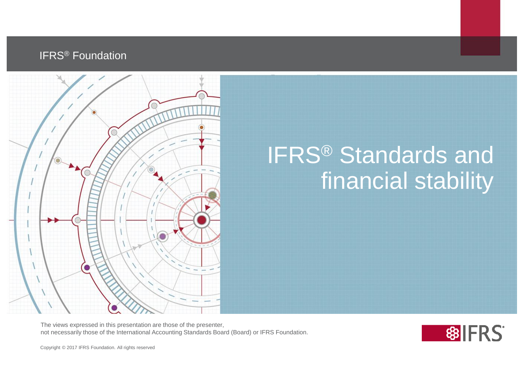#### IFRS® Foundation



## IFRS® Standards and financial stability

The views expressed in this presentation are those of the presenter, not necessarily those of the International Accounting Standards Board (Board) or IFRS Foundation.

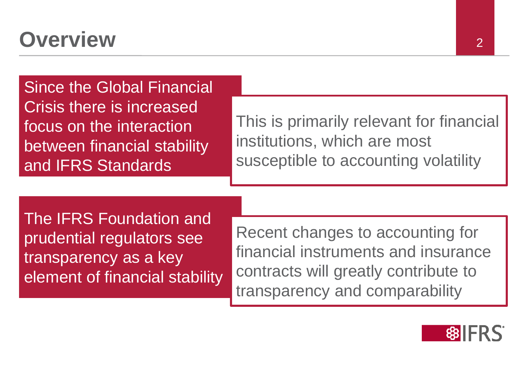#### **Overview** 2

Since the Global Financial Crisis there is increased focus on the interaction between financial stability and IFRS Standards

This is primarily relevant for financial institutions, which are most susceptible to accounting volatility

The IFRS Foundation and prudential regulators see transparency as a key element of financial stability

Recent changes to accounting for financial instruments and insurance contracts will greatly contribute to transparency and comparability

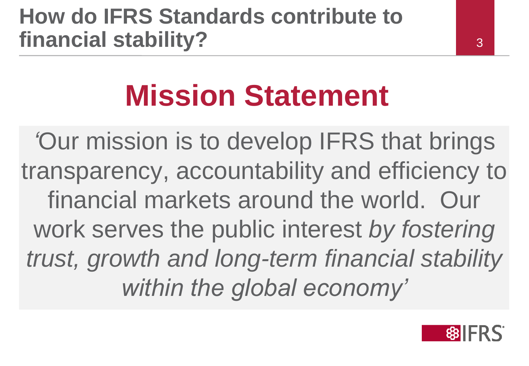#### **How do IFRS Standards contribute to financial stability?**

3

# **Mission Statement**

*'*Our mission is to develop IFRS that brings transparency, accountability and efficiency to financial markets around the world. Our work serves the public interest *by fostering trust, growth and long-term financial stability within the global economy'*

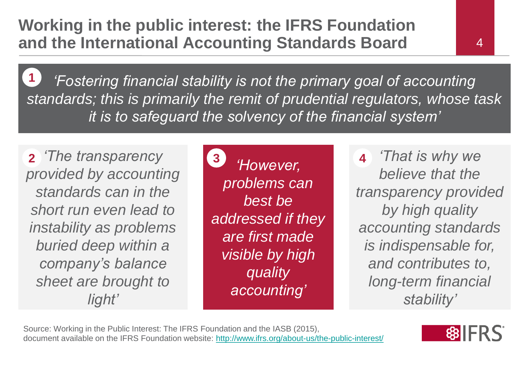*'Fostering financial stability is not the primary goal of accounting standards; this is primarily the remit of prudential regulators, whose task it is to safeguard the solvency of the financial system'* **1**

**2** *The transparency* **3 4 4 4** *provided by accounting standards can in the short run even lead to instability as problems buried deep within a company's balance sheet are brought to light'*

*'However, problems can best be addressed if they are first made visible by high quality accounting'*

*'That is why we believe that the transparency provided by high quality accounting standards is indispensable for, and contributes to, long-term financial stability'*

Source: Working in the Public Interest: The IFRS Foundation and the IASB (2015), document available on the IFRS Foundation website:<http://www.ifrs.org/about-us/the-public-interest/>

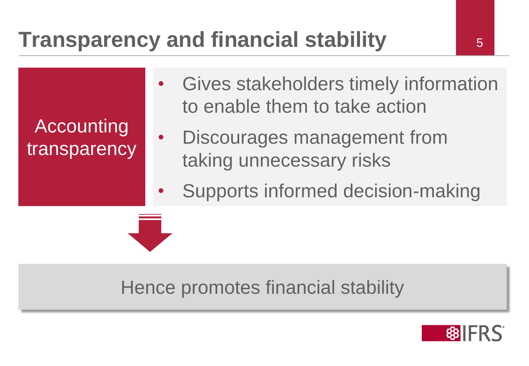## **Transparency and financial stability 19.6 Example 13.5**

Accounting transparency

- Gives stakeholders timely information to enable them to take action
	- Discourages management from taking unnecessary risks
	- Supports informed decision-making

#### Hence promotes financial stability

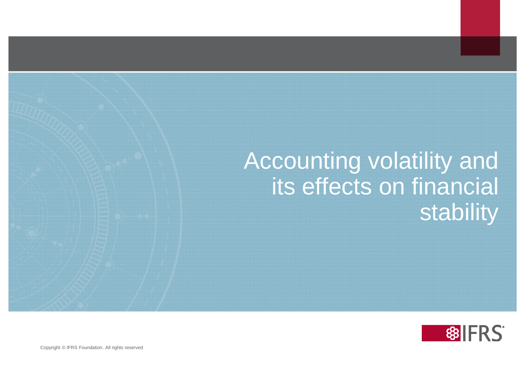#### Accounting volatility and its effects on financial stability

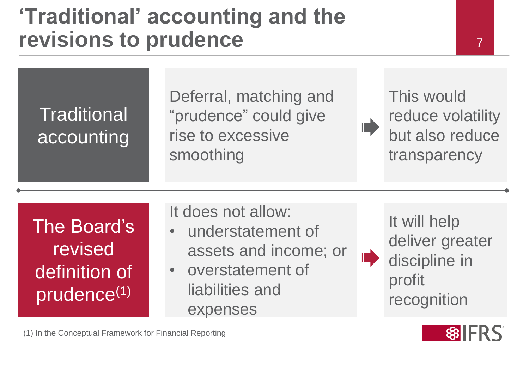#### **'Traditional' accounting and the revisions to prudence**

This would reduce volatility but also reduce transparency

7

The Board's revised definition of prudence(1)

**Traditional** 

accounting

It does not allow:

rise to excessive

smoothing

• understatement of assets and income; or

Deferral, matching and

"prudence" could give

• overstatement of liabilities and expenses

It will help deliver greater discipline in profit recognition

III D



(1) In the Conceptual Framework for Financial Reporting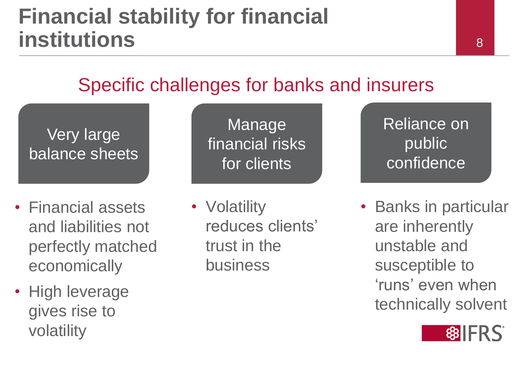#### **Financial stability for financial institutions**

#### Specific challenges for banks and insurers

Very large balance sheets

- Financial assets and liabilities not perfectly matched economically
- High leverage gives rise to volatility

Manage financial risks for clients

• **Volatility** reduces clients' trust in the business

Reliance on public confidence

• Banks in particular are inherently unstable and susceptible to 'runs' even when technically solvent

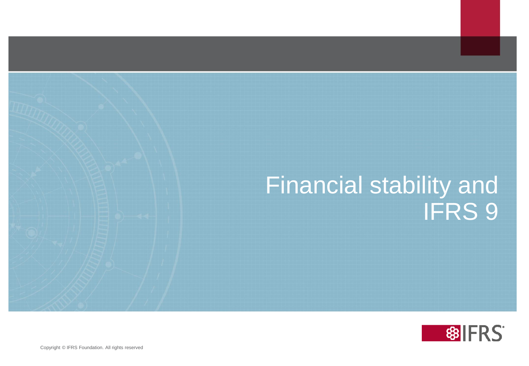#### Financial stability and IFRS 9

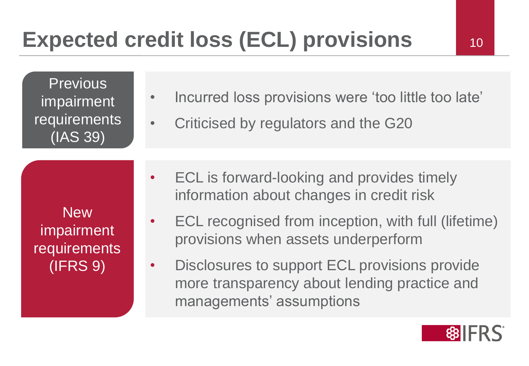**Previous** impairment requirements (IAS 39)

- Incurred loss provisions were 'too little too late'
- Criticised by regulators and the G20

New impairment requirements (IFRS 9)

- ECL is forward-looking and provides timely information about changes in credit risk
	- ECL recognised from inception, with full (lifetime) provisions when assets underperform
- Disclosures to support ECL provisions provide more transparency about lending practice and managements' assumptions

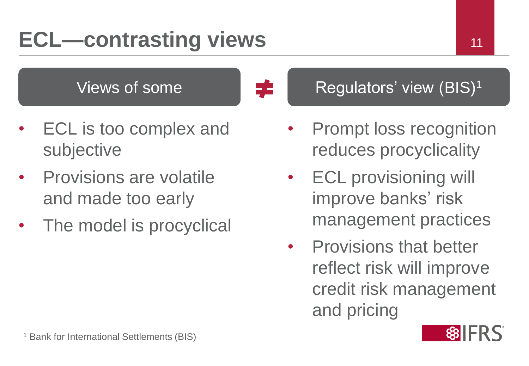## **ECL—contrasting views** 11

#### Views of some  $\begin{array}{ccc} \hline \end{array}$   $\begin{array}{ccc} \hline \end{array}$  Regulators' view (BIS)<sup>1</sup>

- ECL is too complex and subjective
- Provisions are volatile and made too early
- The model is procyclical



- **ECL provisioning will** improve banks' risk management practices
- Provisions that better reflect risk will improve credit risk management and pricing

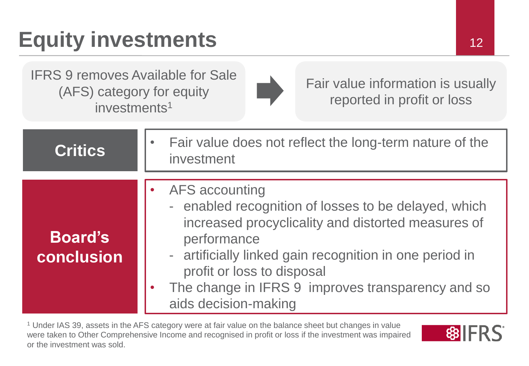## **Equity investments** 12

IFRS 9 removes Available for Sale (AFS) category for equity investments<sup>1</sup>



Fair value information is usually reported in profit or loss

| Critics                      | Fair value does not reflect the long-term nature of the<br>investment                                                                                                                                                                                                                                                    |
|------------------------------|--------------------------------------------------------------------------------------------------------------------------------------------------------------------------------------------------------------------------------------------------------------------------------------------------------------------------|
| <b>Board's</b><br>conclusion | <b>AFS accounting</b><br>- enabled recognition of losses to be delayed, which<br>increased procyclicality and distorted measures of<br>performance<br>- artificially linked gain recognition in one period in<br>profit or loss to disposal<br>The change in IFRS 9 improves transparency and so<br>aids decision-making |

<sup>1</sup> Under IAS 39, assets in the AFS category were at fair value on the balance sheet but changes in value were taken to Other Comprehensive Income and recognised in profit or loss if the investment was impaired or the investment was sold.

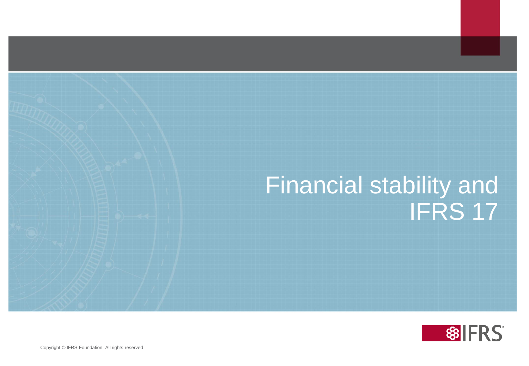#### Financial stability and IFRS 17

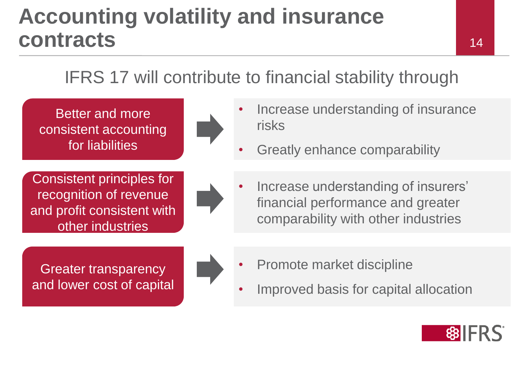#### **Accounting volatility and insurance contracts**

#### 14

#### IFRS 17 will contribute to financial stability through

Better and more consistent accounting for liabilities

Consistent principles for recognition of revenue and profit consistent with other industries



- Increase understanding of insurance risks
- Greatly enhance comparability
- Increase understanding of insurers' financial performance and greater comparability with other industries

Greater transparency and lower cost of capital



- Promote market discipline
- Improved basis for capital allocation

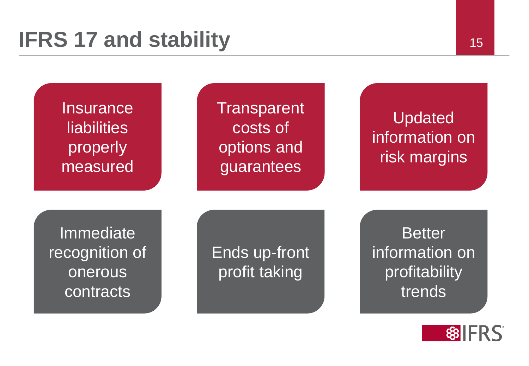

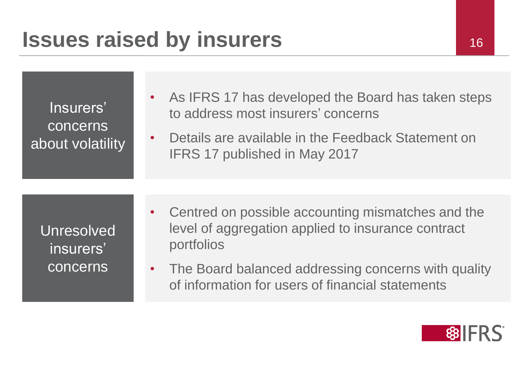| Insurers'<br>concerns<br>about volatility  | • As IFRS 17 has developed the Board has taken steps<br>to address most insurers' concerns<br>Details are available in the Feedback Statement on<br>$\bullet$<br>IFRS 17 published in May 2017                                     |
|--------------------------------------------|------------------------------------------------------------------------------------------------------------------------------------------------------------------------------------------------------------------------------------|
| <b>Unresolved</b><br>insurers'<br>concerns | • Centred on possible accounting mismatches and the<br>level of aggregation applied to insurance contract<br>portfolios<br>The Board balanced addressing concerns with quality<br>of information for users of financial statements |

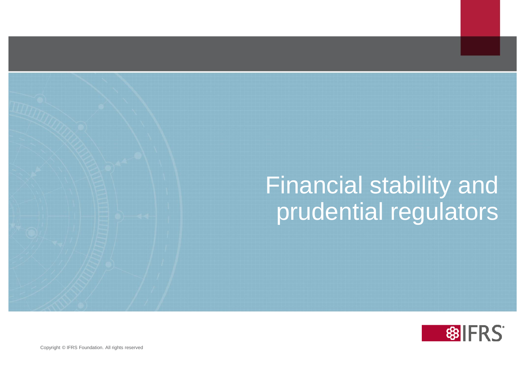## Financial stability and prudential regulators

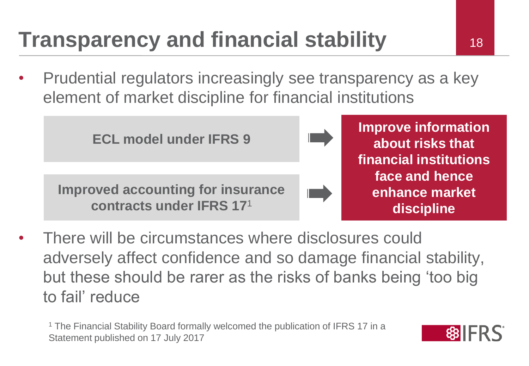## **Transparency and financial stability 18**

• Prudential regulators increasingly see transparency as a key element of market discipline for financial institutions

**ECL model under IFRS 9 Improve information about risks that financial institutions face and hence enhance market discipline Improved accounting for insurance contracts under IFRS 17**<sup>1</sup>

• There will be circumstances where disclosures could adversely affect confidence and so damage financial stability, but these should be rarer as the risks of banks being 'too big to fail' reduce

<sup>1</sup> The Financial Stability Board formally welcomed the publication of IFRS 17 in a Statement published on 17 July 2017

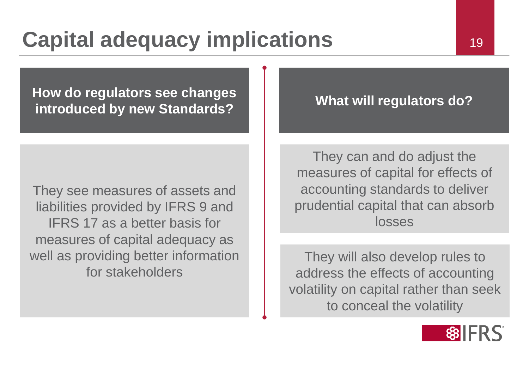**How do regulators see changes**  if **it all introduced by new Standards? All introduced by new Standards?** 

They see measures of assets and liabilities provided by IFRS 9 and IFRS 17 as a better basis for measures of capital adequacy as well as providing better information for stakeholders

They can and do adjust the measures of capital for effects of accounting standards to deliver prudential capital that can absorb losses

They will also develop rules to address the effects of accounting volatility on capital rather than seek to conceal the volatility